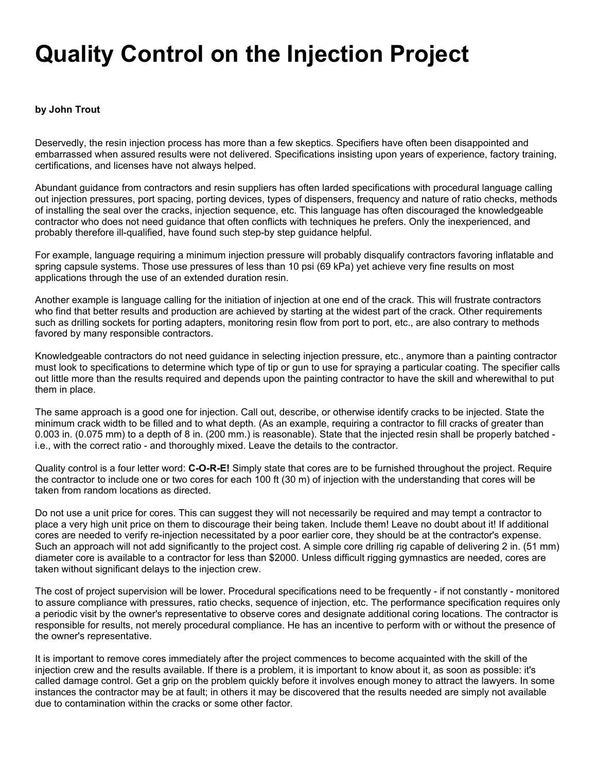## **Quality Control on the Injection Project**

## **by John Trout**

Deservedly, the resin injection process has more than a few skeptics. Specifiers have often been disappointed and embarrassed when assured results were not delivered. Specifications insisting upon years of experience, factory training, certifications, and licenses have not always helped.

Abundant guidance from contractors and resin suppliers has often larded specifications with procedural language calling out injection pressures, port spacing, porting devices, types of dispensers, frequency and nature of ratio checks, methods of installing the seal over the cracks, injection sequence, etc. This language has often discouraged the knowledgeable contractor who does not need guidance that often conflicts with techniques he prefers. Only the inexperienced, and probably therefore ill-qualified, have found such step-by step guidance helpful.

For example, language requiring a minimum injection pressure will probably disqualify contractors favoring inflatable and spring capsule systems. Those use pressures of less than 10 psi (69 kPa) yet achieve very fine results on most applications through the use of an extended duration resin.

Another example is language calling for the initiation of injection at one end of the crack. This will frustrate contractors who find that better results and production are achieved by starting at the widest part of the crack. Other requirements such as drilling sockets for porting adapters, monitoring resin flow from port to port, etc., are also contrary to methods favored by many responsible contractors.

Knowledgeable contractors do not need guidance in selecting injection pressure, etc., anymore than a painting contractor must look to specifications to determine which type of tip or gun to use for spraying a particular coating. The specifier calls out little more than the results required and depends upon the painting contractor to have the skill and wherewithal to put them in place.

The same approach is a good one for injection. Call out, describe, or otherwise identify cracks to be injected. State the minimum crack width to be filled and to what depth. (As an example, requiring a contractor to fill cracks of greater than 0.003 in. (0.075 mm) to a depth of 8 in. (200 mm.) is reasonable). State that the injected resin shall be properly batched i.e., with the correct ratio - and thoroughly mixed. Leave the details to the contractor.

Quality control is a four letter word: **C-O-R-E!** Simply state that cores are to be furnished throughout the project. Require the contractor to include one or two cores for each 100 ft (30 m) of injection with the understanding that cores will be taken from random locations as directed.

Do not use a unit price for cores. This can suggest they will not necessarily be required and may tempt a contractor to place a very high unit price on them to discourage their being taken. Include them! Leave no doubt about it! If additional cores are needed to verify re-injection necessitated by a poor earlier core, they should be at the contractor's expense. Such an approach will not add significantly to the project cost. A simple core drilling rig capable of delivering 2 in. (51 mm) diameter core is available to a contractor for less than \$2000. Unless difficult rigging gymnastics are needed, cores are taken without significant delays to the injection crew.

The cost of project supervision will be lower. Procedural specifications need to be frequently - if not constantly - monitored to assure compliance with pressures, ratio checks, sequence of injection, etc. The performance specification requires only a periodic visit by the owner's representative to observe cores and designate additional coring locations. The contractor is responsible for results, not merely procedural compliance. He has an incentive to perform with or without the presence of the owner's representative.

It is important to remove cores immediately after the project commences to become acquainted with the skill of the injection crew and the results available. If there is a problem, it is important to know about it, as soon as possible: it's called damage control. Get a grip on the problem quickly before it involves enough money to attract the lawyers. In some instances the contractor may be at fault; in others it may be discovered that the results needed are simply not available due to contamination within the cracks or some other factor.